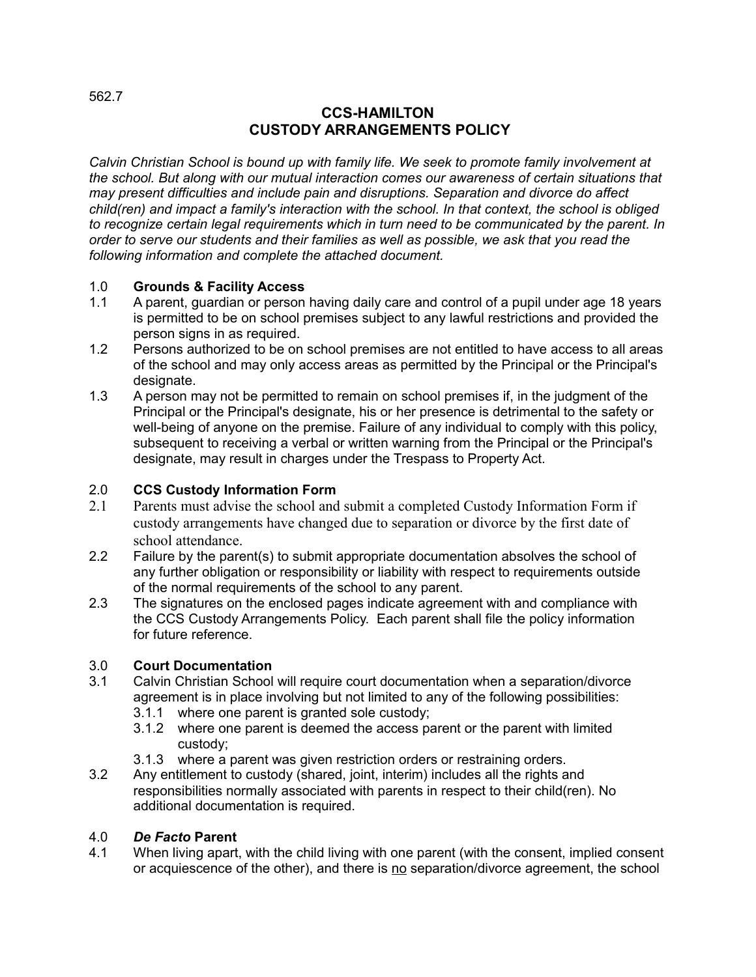## **CCS-HAMILTON CUSTODY ARRANGEMENTS POLICY**

*Calvin Christian School is bound up with family life. We seek to promote family involvement at the school. But along with our mutual interaction comes our awareness of certain situations that may present difficulties and include pain and disruptions. Separation and divorce do affect child(ren) and impact a family's interaction with the school. In that context, the school is obliged to recognize certain legal requirements which in turn need to be communicated by the parent. In order to serve our students and their families as well as possible, we ask that you read the following information and complete the attached document.* 

## 1.0 **Grounds & Facility Access**

- 1.1 A parent, guardian or person having daily care and control of a pupil under age 18 years is permitted to be on school premises subject to any lawful restrictions and provided the person signs in as required.
- 1.2 Persons authorized to be on school premises are not entitled to have access to all areas of the school and may only access areas as permitted by the Principal or the Principal's designate.
- 1.3 A person may not be permitted to remain on school premises if, in the judgment of the Principal or the Principal's designate, his or her presence is detrimental to the safety or well-being of anyone on the premise. Failure of any individual to comply with this policy, subsequent to receiving a verbal or written warning from the Principal or the Principal's designate, may result in charges under the Trespass to Property Act.

## 2.0 **CCS Custody Information Form**

- 2.1 Parents must advise the school and submit a completed Custody Information Form if custody arrangements have changed due to separation or divorce by the first date of school attendance.
- 2.2 Failure by the parent(s) to submit appropriate documentation absolves the school of any further obligation or responsibility or liability with respect to requirements outside of the normal requirements of the school to any parent.
- 2.3 The signatures on the enclosed pages indicate agreement with and compliance with the CCS Custody Arrangements Policy. Each parent shall file the policy information for future reference.

## 3.0 **Court Documentation**

- 3.1 Calvin Christian School will require court documentation when a separation/divorce agreement is in place involving but not limited to any of the following possibilities:
	- 3.1.1 where one parent is granted sole custody;
	- 3.1.2 where one parent is deemed the access parent or the parent with limited custody;
	- 3.1.3 where a parent was given restriction orders or restraining orders.
- 3.2 Any entitlement to custody (shared, joint, interim) includes all the rights and responsibilities normally associated with parents in respect to their child(ren). No additional documentation is required.

## 4.0 *De Facto* **Parent**

4.1 When living apart, with the child living with one parent (with the consent, implied consent or acquiescence of the other), and there is no separation/divorce agreement, the school

562.7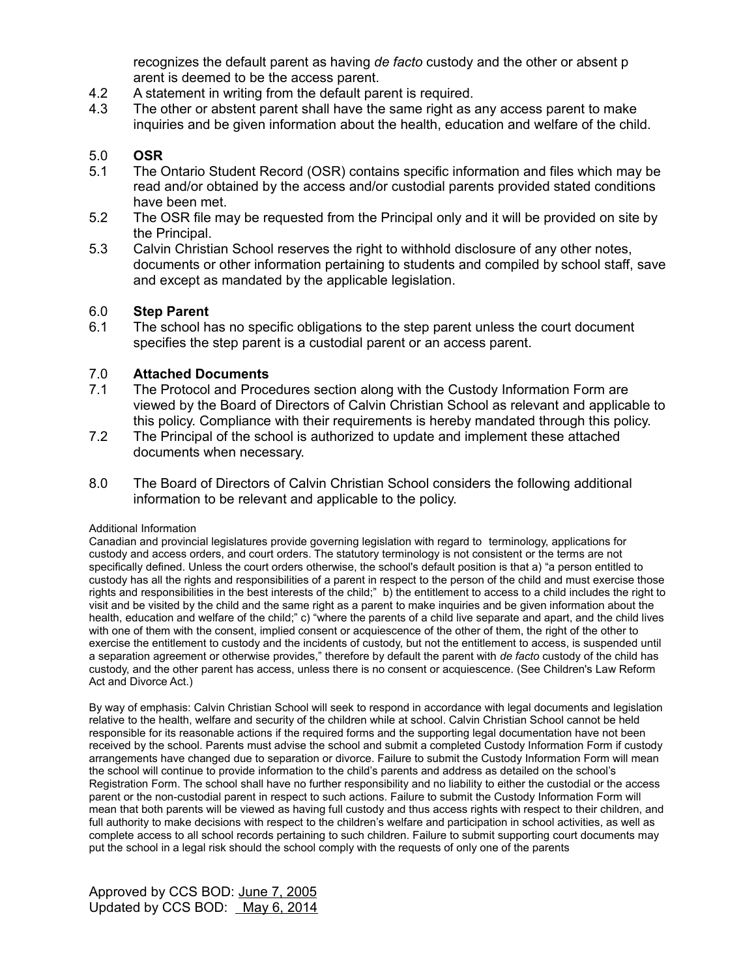recognizes the default parent as having *de facto* custody and the other or absent p arent is deemed to be the access parent.

- 4.2 A statement in writing from the default parent is required.
- 4.3 The other or abstent parent shall have the same right as any access parent to make inquiries and be given information about the health, education and welfare of the child.

## 5.0 **OSR**

- 5.1 The Ontario Student Record (OSR) contains specific information and files which may be read and/or obtained by the access and/or custodial parents provided stated conditions have been met.
- 5.2 The OSR file may be requested from the Principal only and it will be provided on site by the Principal.
- 5.3 Calvin Christian School reserves the right to withhold disclosure of any other notes, documents or other information pertaining to students and compiled by school staff, save and except as mandated by the applicable legislation.

### 6.0 **Step Parent**

6.1 The school has no specific obligations to the step parent unless the court document specifies the step parent is a custodial parent or an access parent.

### 7.0 **Attached Documents**

- 7.1 The Protocol and Procedures section along with the Custody Information Form are viewed by the Board of Directors of Calvin Christian School as relevant and applicable to this policy. Compliance with their requirements is hereby mandated through this policy.
- 7.2 The Principal of the school is authorized to update and implement these attached documents when necessary.
- 8.0 The Board of Directors of Calvin Christian School considers the following additional information to be relevant and applicable to the policy.

#### Additional Information

Canadian and provincial legislatures provide governing legislation with regard to terminology, applications for custody and access orders, and court orders. The statutory terminology is not consistent or the terms are not specifically defined. Unless the court orders otherwise, the school's default position is that a) "a person entitled to custody has all the rights and responsibilities of a parent in respect to the person of the child and must exercise those rights and responsibilities in the best interests of the child;" b) the entitlement to access to a child includes the right to visit and be visited by the child and the same right as a parent to make inquiries and be given information about the health, education and welfare of the child;" c) "where the parents of a child live separate and apart, and the child lives with one of them with the consent, implied consent or acquiescence of the other of them, the right of the other to exercise the entitlement to custody and the incidents of custody, but not the entitlement to access, is suspended until a separation agreement or otherwise provides," therefore by default the parent with *de facto* custody of the child has custody, and the other parent has access, unless there is no consent or acquiescence. (See Children's Law Reform Act and Divorce Act.)

By way of emphasis: Calvin Christian School will seek to respond in accordance with legal documents and legislation relative to the health, welfare and security of the children while at school. Calvin Christian School cannot be held responsible for its reasonable actions if the required forms and the supporting legal documentation have not been received by the school. Parents must advise the school and submit a completed Custody Information Form if custody arrangements have changed due to separation or divorce. Failure to submit the Custody Information Form will mean the school will continue to provide information to the child's parents and address as detailed on the school's Registration Form. The school shall have no further responsibility and no liability to either the custodial or the access parent or the non-custodial parent in respect to such actions. Failure to submit the Custody Information Form will mean that both parents will be viewed as having full custody and thus access rights with respect to their children, and full authority to make decisions with respect to the children's welfare and participation in school activities, as well as complete access to all school records pertaining to such children. Failure to submit supporting court documents may put the school in a legal risk should the school comply with the requests of only one of the parents

Approved by CCS BOD: June 7, 2005 Updated by CCS BOD: May 6, 2014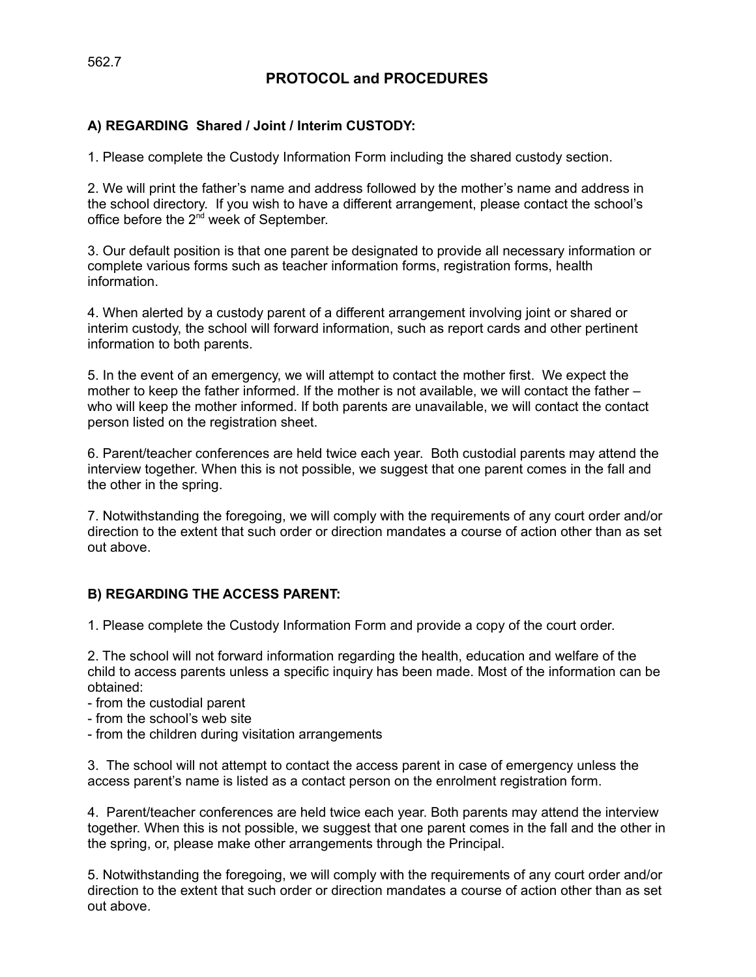# **PROTOCOL and PROCEDURES**

## **A) REGARDING Shared / Joint / Interim CUSTODY:**

1. Please complete the Custody Information Form including the shared custody section.

2. We will print the father's name and address followed by the mother's name and address in the school directory. If you wish to have a different arrangement, please contact the school's office before the  $2^{nd}$  week of September.

3. Our default position is that one parent be designated to provide all necessary information or complete various forms such as teacher information forms, registration forms, health information.

4. When alerted by a custody parent of a different arrangement involving joint or shared or interim custody, the school will forward information, such as report cards and other pertinent information to both parents.

5. In the event of an emergency, we will attempt to contact the mother first. We expect the mother to keep the father informed. If the mother is not available, we will contact the father – who will keep the mother informed. If both parents are unavailable, we will contact the contact person listed on the registration sheet.

6. Parent/teacher conferences are held twice each year. Both custodial parents may attend the interview together. When this is not possible, we suggest that one parent comes in the fall and the other in the spring.

7. Notwithstanding the foregoing, we will comply with the requirements of any court order and/or direction to the extent that such order or direction mandates a course of action other than as set out above.

## **B) REGARDING THE ACCESS PARENT:**

1. Please complete the Custody Information Form and provide a copy of the court order.

2. The school will not forward information regarding the health, education and welfare of the child to access parents unless a specific inquiry has been made. Most of the information can be obtained:

- from the custodial parent
- from the school's web site
- from the children during visitation arrangements

3. The school will not attempt to contact the access parent in case of emergency unless the access parent's name is listed as a contact person on the enrolment registration form.

4. Parent/teacher conferences are held twice each year. Both parents may attend the interview together. When this is not possible, we suggest that one parent comes in the fall and the other in the spring, or, please make other arrangements through the Principal.

5. Notwithstanding the foregoing, we will comply with the requirements of any court order and/or direction to the extent that such order or direction mandates a course of action other than as set out above.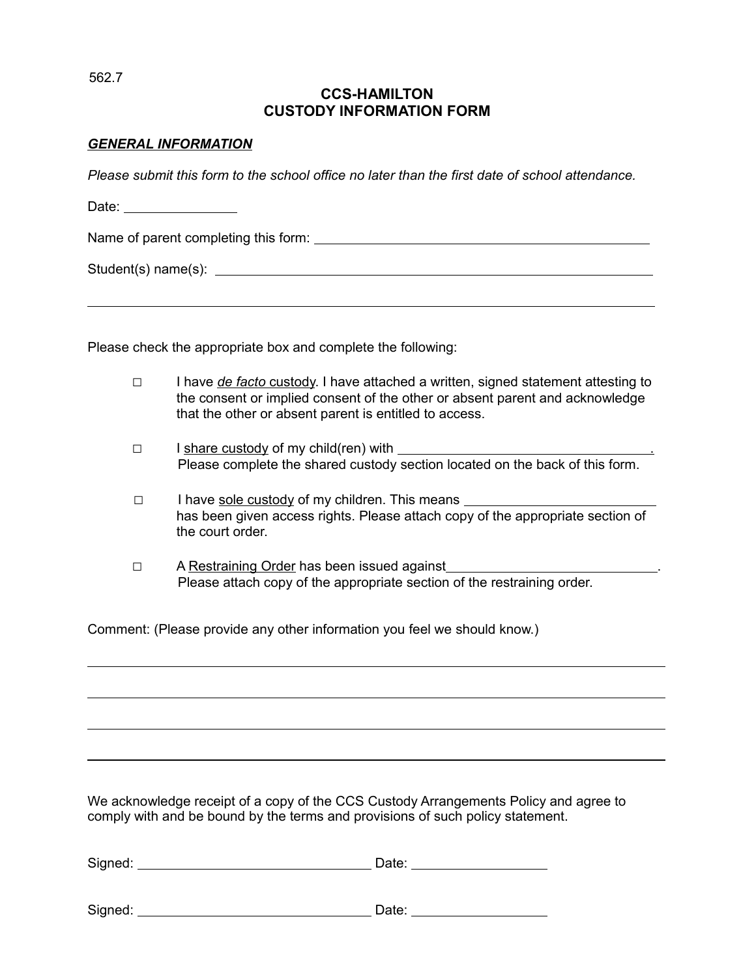562.7

 $\overline{a}$ 

 $\overline{a}$ 

## **CCS-HAMILTON CUSTODY INFORMATION FORM**

## *GENERAL INFORMATION*

*Please submit this form to the school office no later than the first date of school attendance.*

Date: \_\_\_\_\_\_\_\_\_\_\_\_\_\_\_\_

Name of parent completing this form:

Student(s) name(s): example and student of  $\sim$ 

Please check the appropriate box and complete the following:

- □ I have *de facto* custody. I have attached a written, signed statement attesting to the consent or implied consent of the other or absent parent and acknowledge that the other or absent parent is entitled to access.
- $\Box$  I share custody of my child(ren) with  $\Box$ Please complete the shared custody section located on the back of this form.
- □ I have sole custody of my children. This means has been given access rights. Please attach copy of the appropriate section of the court order.
- □ A Restraining Order has been issued against Please attach copy of the appropriate section of the restraining order.

Comment: (Please provide any other information you feel we should know.)

We acknowledge receipt of a copy of the CCS Custody Arrangements Policy and agree to comply with and be bound by the terms and provisions of such policy statement.

| Signed: | Date: |
|---------|-------|
| Signed: | Date: |